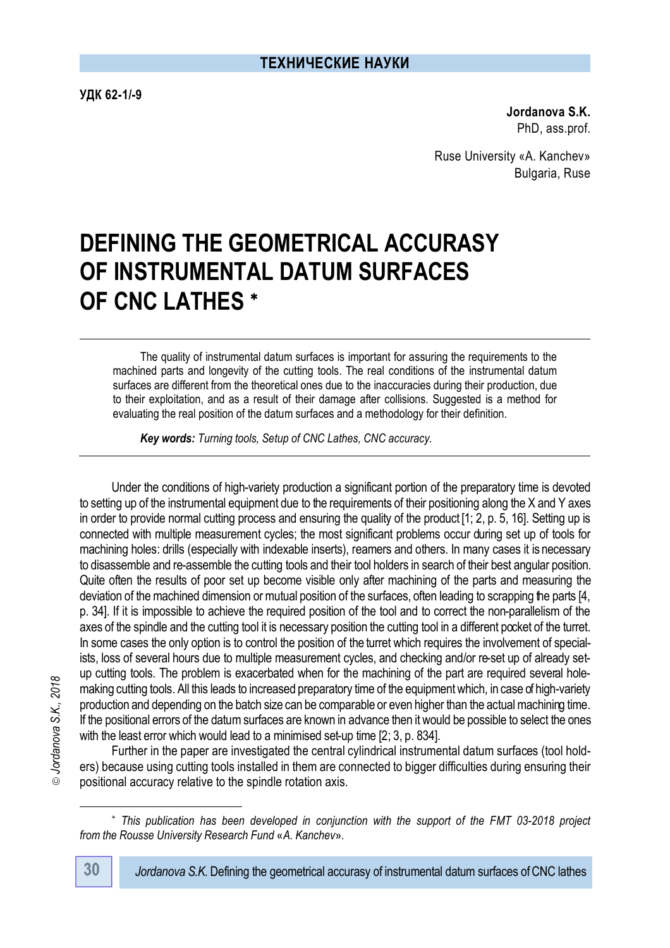**УДК 62-1/-9** 

**Jordanova S.K.** PhD, ass.prof.

Ruse University «A. Kanchev» Bulgaria, Ruse

# **DEFINING THE GEOMETRICAL ACCURASY OF INSTRUMENTAL DATUM SURFACES OF CNC LATHES**

The quality of instrumental datum surfaces is important for assuring the requirements to the machined parts and longevity of the cutting tools. The real conditions of the instrumental datum surfaces are different from the theoretical ones due to the inaccuracies during their production, due to their exploitation, and as a result of their damage after collisions. Suggested is a method for evaluating the real position of the datum surfaces and a methodology for their definition.

*Key words: Turning tools, Setup of CNC Lathes, CNC accuracy.*

Under the conditions of high-variety production a significant portion of the preparatory time is devoted to setting up of the instrumental equipment due to the requirements of their positioning along the X and Y axes in order to provide normal cutting process and ensuring the quality of the product [1; 2, p. 5, 16]. Setting up is connected with multiple measurement cycles; the most significant problems occur during set up of tools for machining holes: drills (especially with indexable inserts), reamers and others. In many cases it is necessary to disassemble and re-assemble the cutting tools and their tool holders in search of their best angular position. Quite often the results of poor set up become visible only after machining of the parts and measuring the deviation of the machined dimension or mutual position of the surfaces, often leading to scrapping the parts [4, p. 34]. If it is impossible to achieve the required position of the tool and to correct the non-parallelism of the axes of the spindle and the cutting tool it is necessary position the cutting tool in a different pocket of the turret. In some cases the only option is to control the position of the turret which requires the involvement of specialists, loss of several hours due to multiple measurement cycles, and checking and/or re-set up of already setup cutting tools. The problem is exacerbated when for the machining of the part are required several holemaking cutting tools. All this leads to increased preparatory time of the equipment which, in case of high-variety production and depending on the batch size can be comparable or even higher than the actual machining time. If the positional errors of the datum surfaces are known in advance then it would be possible to select the ones with the least error which would lead to a minimised set-up time [2; 3, p. 834].

Further in the paper are investigated the central cylindrical instrumental datum surfaces (tool holders) because using cutting tools installed in them are connected to bigger difficulties during ensuring their positional accuracy relative to the spindle rotation axis.

 $\overline{a}$ 

*This publication has been developed in conjunction with the support of the FMT 03-2018 project from the Rousse University Research Fund* «*A. Kanchev*»*.*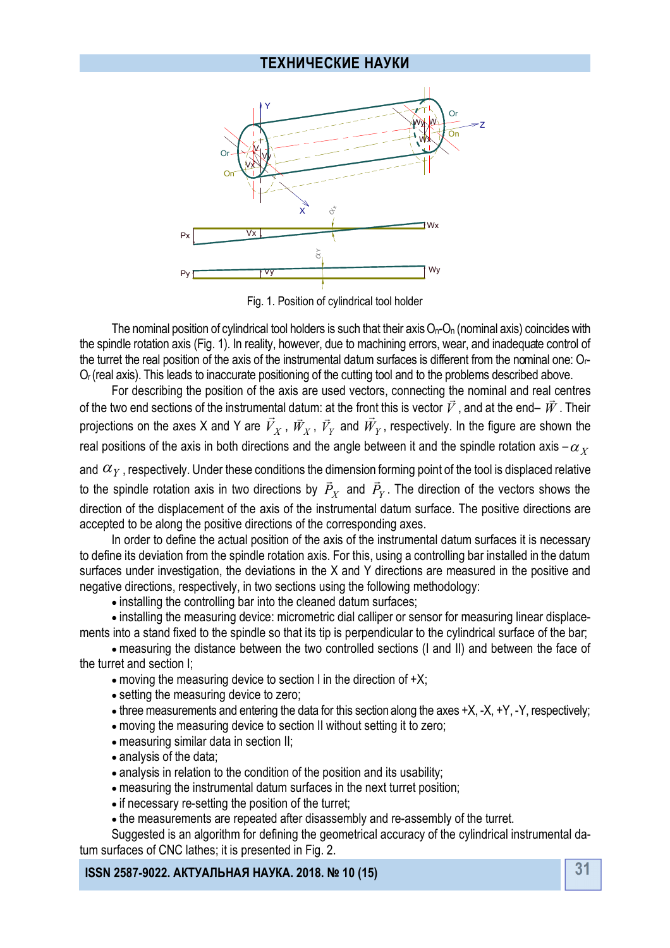

Fig. 1. Position of cylindrical tool holder

The nominal position of cylindrical tool holders is such that their axis  $O_n-O_n$  (nominal axis) coincides with the spindle rotation axis (Fig. 1). In reality, however, due to machining errors, wear, and inadequate control of the turret the real position of the axis of the instrumental datum surfaces is different from the nominal one: Оr-О<sup>r</sup> (real axis). This leads to inaccurate positioning of the cutting tool and to the problems described above.

For describing the position of the axis are used vectors, connecting the nominal and real centres of the two end sections of the instrumental datum: at the front this is vector *V*, and at the end– *W*. Their projections on the axes X and Y are  $V_X$  ,  $\vec{W}_X$  ,  $\vec{V}_Y$  and  $W_Y$ , respectively. In the figure are shown the real positions of the axis in both directions and the angle between it and the spindle rotation axis  $-\alpha_x$ 

and  $\alpha_Y$ , respectively. Under these conditions the dimension forming point of the tool is displaced relative to the spindle rotation axis in two directions by  $\mathit{P}_{X}$ u<br>= and  $\dot{P_Y}$  $\frac{1}{2}$ . The direction of the vectors shows the direction of the displacement of the axis of the instrumental datum surface. The positive directions are accepted to be along the positive directions of the corresponding axes.

In order to define the actual position of the axis of the instrumental datum surfaces it is necessary to define its deviation from the spindle rotation axis. For this, using a controlling bar installed in the datum surfaces under investigation, the deviations in the X and Y directions are measured in the positive and negative directions, respectively, in two sections using the following methodology:

 $\bullet$  installing the controlling bar into the cleaned datum surfaces:

 installing the measuring device: micrometric dial calliper or sensor for measuring linear displacements into a stand fixed to the spindle so that its tip is perpendicular to the cylindrical surface of the bar;

 measuring the distance between the two controlled sections (I and II) and between the face of the turret and section I;

- moving the measuring device to section I in the direction of  $+X$ ;
- setting the measuring device to zero;
- $\bullet$  three measurements and entering the data for this section along the axes  $+X, -X, +Y, -Y$ , respectively;
- moving the measuring device to section II without setting it to zero;
- measuring similar data in section II;
- analysis of the data;
- analysis in relation to the condition of the position and its usability;
- measuring the instrumental datum surfaces in the next turret position;
- if necessary re-setting the position of the turret;
- the measurements are repeated after disassembly and re-assembly of the turret.

Suggested is an algorithm for defining the geometrical accuracy of the cylindrical instrumental datum surfaces of CNC lathes; it is presented in Fig. 2.

**31 ISSN 2587-9022. АКТУАЛЬНАЯ НАУКА. 2018. № 10 (15)**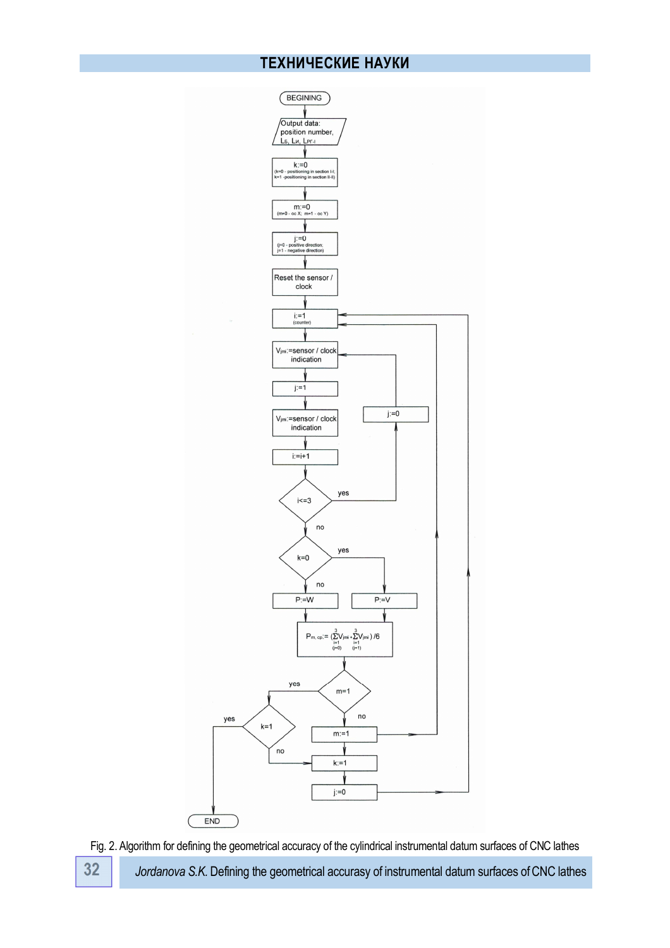

**32** *Jordanova S.K.* Defining the geometrical accurasy of instrumental datum surfaces ofCNC lathes Fig. 2. Algorithm for defining the geometrical accuracy of the cylindrical instrumental datum surfaces of CNC lathes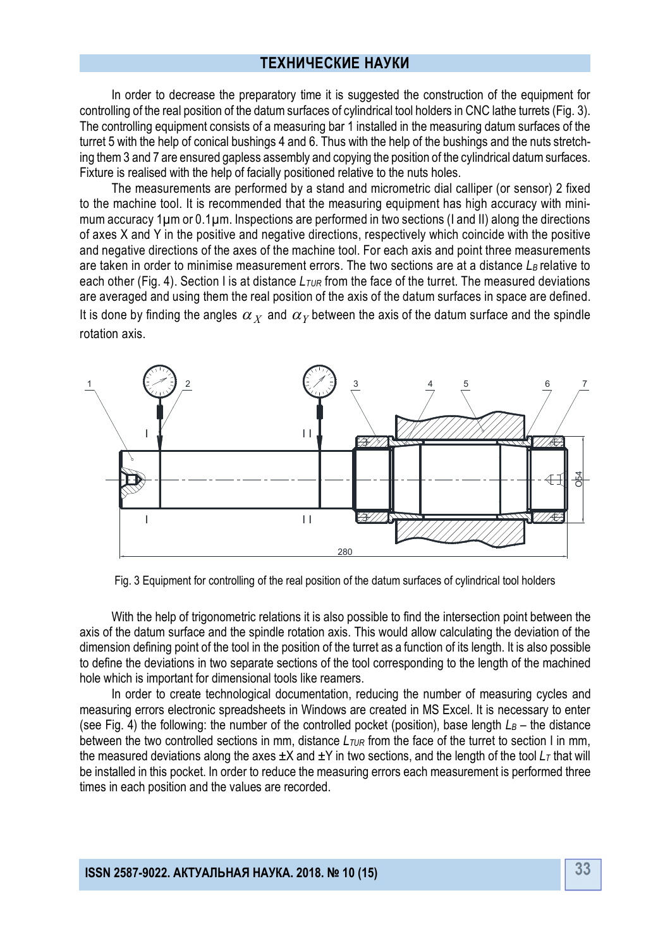In order to decrease the preparatory time it is suggested the construction of the equipment for controlling of the real position of the datum surfaces of cylindrical tool holders in CNC lathe turrets (Fig. 3). The controlling equipment consists of a measuring bar 1 installed in the measuring datum surfaces of the turret 5 with the help of conical bushings 4 and 6. Thus with the help of the bushings and the nuts stretching them 3 and 7 are ensured gapless assembly and copying the position of the cylindrical datum surfaces. Fixture is realised with the help of facially positioned relative to the nuts holes.

The measurements are performed by a stand and micrometric dial calliper (or sensor) 2 fixed to the machine tool. It is recommended that the measuring equipment has high accuracy with minimum accuracy 1µm or 0.1µm. Inspections are performed in two sections (I and II) along the directions of axes X and Y in the positive and negative directions, respectively which coincide with the positive and negative directions of the axes of the machine tool. For each axis and point three measurements are taken in order to minimise measurement errors. The two sections are at a distance *LB* relative to each other (Fig. 4). Section I is at distance *LTUR* from the face of the turret. The measured deviations are averaged and using them the real position of the axis of the datum surfaces in space are defined. It is done by finding the angles  $\alpha_{\overline{X}}$  and  $\alpha_{\overline{Y}}$  between the axis of the datum surface and the spindle rotation axis.



Fig. 3 Equipment for controlling of the real position of the datum surfaces of cylindrical tool holders

With the help of trigonometric relations it is also possible to find the intersection point between the axis of the datum surface and the spindle rotation axis. This would allow calculating the deviation of the dimension defining point of the tool in the position of the turret as a function of its length. It is also possible to define the deviations in two separate sections of the tool corresponding to the length of the machined hole which is important for dimensional tools like reamers.

In order to create technological documentation, reducing the number of measuring cycles and measuring errors electronic spreadsheets in Windows are created in MS Excel. It is necessary to enter (see Fig. 4) the following: the number of the controlled pocket (position), base length  $L_B$  – the distance between the two controlled sections in mm, distance  $L_{\text{TUR}}$  from the face of the turret to section I in mm, the measured deviations along the axes  $\pm X$  and  $\pm Y$  in two sections, and the length of the tool  $L<sub>T</sub>$  that will be installed in this pocket. In order to reduce the measuring errors each measurement is performed three times in each position and the values are recorded.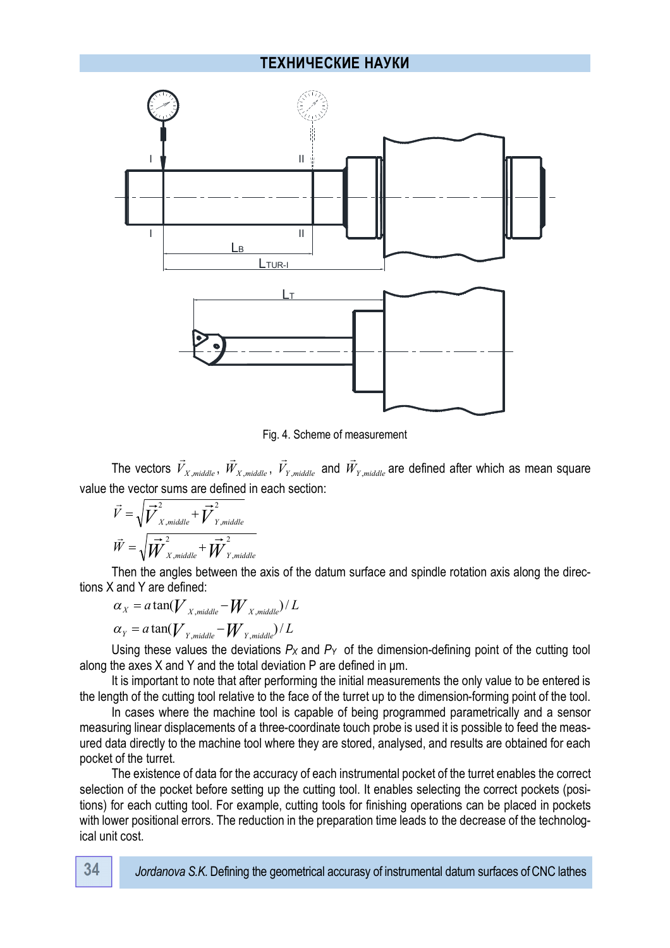

Fig. 4. Scheme of measurement

The vectors *V<sup>X</sup>* ,*middle*  $\rightarrow$ , *W<sup>X</sup>* ,*middle*  $\rightarrow$ , *V<sup>Y</sup>* ,*middle*  $\rightarrow$ and *W<sup>Y</sup>* ,*middle*  $\rightarrow$ are defined after which as mean square value the vector sums are defined in each section:<br> $\vec{v} = \sqrt{2\vec{v}^2 + 2\vec{v}^2}$ 

$$
\vec{V} = \sqrt{\vec{V}_{X,middle}^2 + \vec{V}_{Y,middle}^2}
$$

$$
\vec{W} = \sqrt{\vec{W}_{X,middle}^2 + \vec{W}_{Y,middle}^2}
$$

Then the angles between the axis of the datum surface and spindle rotation axis along the directions X and Y are defined:

$$
\alpha_{X} = a \tan(V_{X, middle} - W_{X, middle})/L
$$
  

$$
\alpha_{Y} = a \tan(V_{Y, middle} - W_{Y, middle})/L
$$

Using these values the deviations *P<sup>X</sup>* and *PY* of the dimension-defining point of the cutting tool along the axes X and Y and the total deviation P are defined in μm.

It is important to note that after performing the initial measurements the only value to be entered is the length of the cutting tool relative to the face of the turret up to the dimension-forming point of the tool.

In cases where the machine tool is capable of being programmed parametrically and a sensor measuring linear displacements of a three-coordinate touch probe is used it is possible to feed the measured data directly to the machine tool where they are stored, analysed, and results are obtained for each pocket of the turret.

The existence of data for the accuracy of each instrumental pocket of the turret enables the correct selection of the pocket before setting up the cutting tool. It enables selecting the correct pockets (positions) for each cutting tool. For example, cutting tools for finishing operations can be placed in pockets with lower positional errors. The reduction in the preparation time leads to the decrease of the technological unit cost.